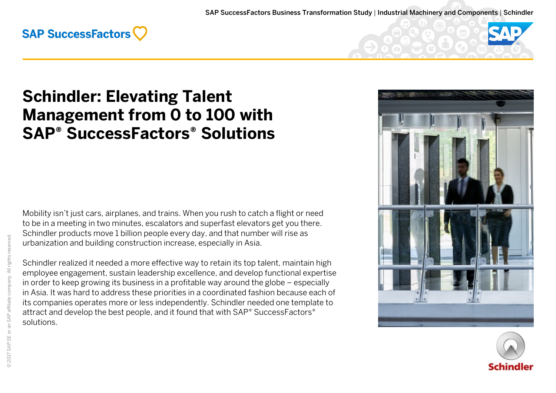



# **Schindler: Elevating Talent Management from 0 to 100 with SAP® SuccessFactors® Solutions**

Mobility isn't just cars, airplanes, and trains. When you rush to catch a flight or need to be in a meeting in two minutes, escalators and superfast elevators get you there. Schindler products move 1 billion people every day, and that number will rise as urbanization and building construction increase, especially in Asia.

Schindler realized it needed a more effective way to retain its top talent, maintain high employee engagement, sustain leadership excellence, and develop functional expertise in order to keep growing its business in a profitable way around the globe – especially in Asia. It was hard to address these priorities in a coordinated fashion because each of its companies operates more or less independently. Schindler needed one template to attract and develop the best people, and it found that with SAP® SuccessFactors® solutions.



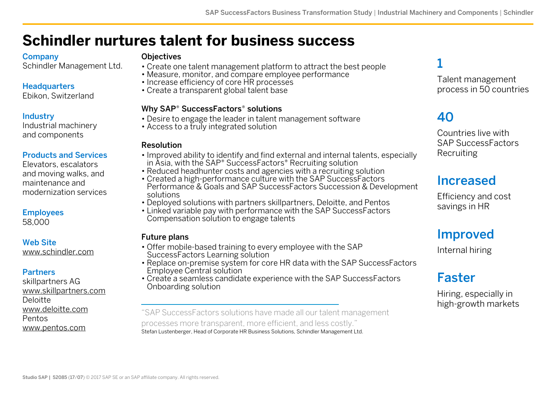# **Schindler nurtures talent for business success**

#### Company

Schindler Management Ltd.

#### **Headquarters**

Ebikon, Switzerland

#### **Industry**

Industrial machinery and components

#### Products and Services

Elevators, escalators and moving walks, and maintenance and modernization services

#### Employees

58,000

#### Web Site

[www.schindler.com](http://www.schindler.com/)

#### Partners

skillpartners AG [www.skillpartners.com](http://www.skillpartners.com/) Deloitte [www.deloitte.com](https://www2.deloitte.com/us/en.html) Pentos [www.pentos.com](https://www.pentos.com/en/)

#### **Objectives**

- Create one talent management platform to attract the best people
- Measure, monitor, and compare employee performance
- Increase efficiency of core HR processes
- Create a transparent global talent base

#### Why SAP® SuccessFactors® solutions

- Desire to engage the leader in talent management software
- Access to a truly integrated solution

#### Resolution

- Improved ability to identify and find external and internal talents, especially in Asia, with the SAP® SuccessFactors® Recruiting solution
- Reduced headhunter costs and agencies with a recruiting solution
- Created a high-performance culture with the SAP SuccessFactors Performance & Goals and SAP SuccessFactors Succession & Development solutions
- Deployed solutions with partners skillpartners, Deloitte, and Pentos
- Linked variable pay with performance with the SAP SuccessFactors Compensation solution to engage talents

#### Future plans

- Offer mobile-based training to every employee with the SAP SuccessFactors Learning solution
- Replace on-premise system for core HR data with the SAP SuccessFactors Employee Central solution
- Create a seamless candidate experience with the SAP SuccessFactors Onboarding solution

"SAP SuccessFactors solutions have made all our talent management processes more transparent, more efficient, and less costly." Stefan Lustenberger, Head of Corporate HR Business Solutions, Schindler Management Ltd.

### 1

Talent management process in 50 countries

## 40

Countries live with SAP SuccessFactors Recruiting

### Increased

Efficiency and cost savings in HR

### Improved

Internal hiring

### Faster

Hiring, especially in high-growth markets